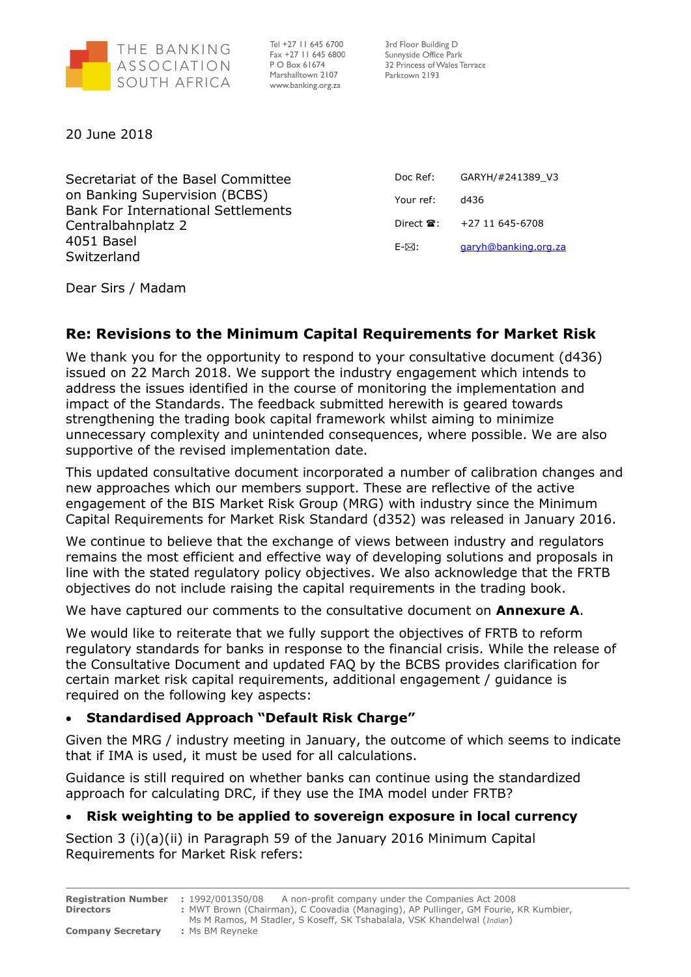

Tel +27 11 645 6700 Fax +27 11 645 6800 P O Box 61674 Marshalltown 2107 www.banking.org.za

3rd Floor Building D Sunnyside Office Park 32 Princess of Wales Terrace Parktown 2193

20 June 2018

Secretariat of the Basel Committee on Banking Supervision (BCBS) Bank For International Settlements Centralbahnplatz 2 4051 Basel Switzerland

Doc Ref: GARYH/#241389\_V3 Your ref: d436 Direct  $\hat{ }$  : +27 11 645-6708 E- $\boxtimes$ : garyh@banking.org.za

Dear Sirs / Madam

# Re: Revisions to the Minimum Capital Requirements for Market Risk

We thank you for the opportunity to respond to your consultative document (d436) issued on 22 March 2018. We support the industry engagement which intends to address the issues identified in the course of monitoring the implementation and impact of the Standards. The feedback submitted herewith is geared towards strengthening the trading book capital framework whilst aiming to minimize unnecessary complexity and unintended consequences, where possible. We are also supportive of the revised implementation date.

This updated consultative document incorporated a number of calibration changes and new approaches which our members support. These are reflective of the active engagement of the BIS Market Risk Group (MRG) with industry since the Minimum Capital Requirements for Market Risk Standard (d352) was released in January 2016.

We continue to believe that the exchange of views between industry and regulators remains the most efficient and effective way of developing solutions and proposals in line with the stated regulatory policy objectives. We also acknowledge that the FRTB objectives do not include raising the capital requirements in the trading book.

We have captured our comments to the consultative document on Annexure A.

We would like to reiterate that we fully support the objectives of FRTB to reform regulatory standards for banks in response to the financial crisis. While the release of the Consultative Document and updated FAQ by the BCBS provides clarification for certain market risk capital requirements, additional engagement / guidance is required on the following key aspects:

# Standardised Approach "Default Risk Charge"

Given the MRG / industry meeting in January, the outcome of which seems to indicate that if IMA is used, it must be used for all calculations.

Guidance is still required on whether banks can continue using the standardized approach for calculating DRC, if they use the IMA model under FRTB?

# Risk weighting to be applied to sovereign exposure in local currency

Section 3 (i)(a)(ii) in Paragraph 59 of the January 2016 Minimum Capital Requirements for Market Risk refers:

| <b>Registration Number : 1992/001350/08</b> | A non-profit company under the Companies Act 2008                                   |
|---------------------------------------------|-------------------------------------------------------------------------------------|
| <b>Directors</b>                            | : MWT Brown (Chairman), C Coovadia (Managing), AP Pullinger, GM Fourie, KR Kumbier, |
|                                             | Ms M Ramos, M Stadler, S Koseff, SK Tshabalala, VSK Khandelwal (Indian)             |
| <b>Company Secretary</b>                    | : Ms BM Revneke                                                                     |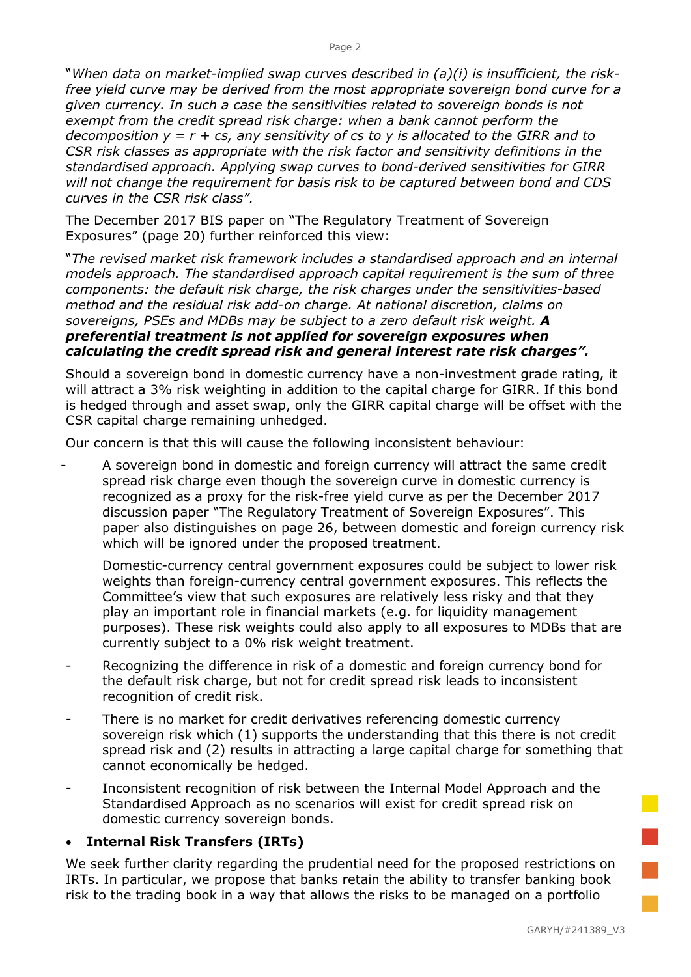"When data on market-implied swap curves described in (a)(i) is insufficient, the riskfree yield curve may be derived from the most appropriate sovereign bond curve for a given currency. In such a case the sensitivities related to sovereign bonds is not exempt from the credit spread risk charge: when a bank cannot perform the decomposition  $y = r + cs$ , any sensitivity of cs to y is allocated to the GIRR and to CSR risk classes as appropriate with the risk factor and sensitivity definitions in the standardised approach. Applying swap curves to bond-derived sensitivities for GIRR will not change the requirement for basis risk to be captured between bond and CDS curves in the CSR risk class".

The December 2017 BIS paper on "The Regulatory Treatment of Sovereign Exposures" (page 20) further reinforced this view:

"The revised market risk framework includes a standardised approach and an internal models approach. The standardised approach capital requirement is the sum of three components: the default risk charge, the risk charges under the sensitivities-based method and the residual risk add-on charge. At national discretion, claims on sovereigns, PSEs and MDBs may be subject to a zero default risk weight. A preferential treatment is not applied for sovereign exposures when calculating the credit spread risk and general interest rate risk charges".

Should a sovereign bond in domestic currency have a non-investment grade rating, it will attract a 3% risk weighting in addition to the capital charge for GIRR. If this bond is hedged through and asset swap, only the GIRR capital charge will be offset with the CSR capital charge remaining unhedged.

Our concern is that this will cause the following inconsistent behaviour:

- A sovereign bond in domestic and foreign currency will attract the same credit spread risk charge even though the sovereign curve in domestic currency is recognized as a proxy for the risk-free yield curve as per the December 2017 discussion paper "The Regulatory Treatment of Sovereign Exposures". This paper also distinguishes on page 26, between domestic and foreign currency risk which will be ignored under the proposed treatment.

Domestic-currency central government exposures could be subject to lower risk weights than foreign-currency central government exposures. This reflects the Committee's view that such exposures are relatively less risky and that they play an important role in financial markets (e.g. for liquidity management purposes). These risk weights could also apply to all exposures to MDBs that are currently subject to a 0% risk weight treatment.

- Recognizing the difference in risk of a domestic and foreign currency bond for the default risk charge, but not for credit spread risk leads to inconsistent recognition of credit risk.
- There is no market for credit derivatives referencing domestic currency sovereign risk which (1) supports the understanding that this there is not credit spread risk and (2) results in attracting a large capital charge for something that cannot economically be hedged.
- Inconsistent recognition of risk between the Internal Model Approach and the Standardised Approach as no scenarios will exist for credit spread risk on domestic currency sovereign bonds.

## • Internal Risk Transfers (IRTs)

We seek further clarity regarding the prudential need for the proposed restrictions on IRTs. In particular, we propose that banks retain the ability to transfer banking book risk to the trading book in a way that allows the risks to be managed on a portfolio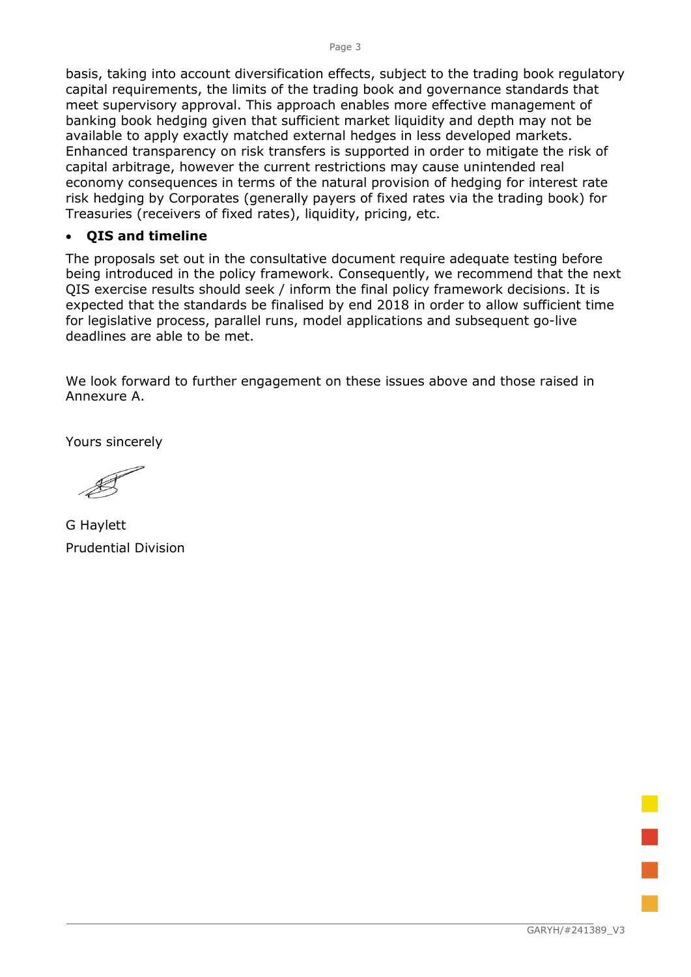basis, taking into account diversification effects, subject to the trading book regulatory capital requirements, the limits of the trading book and governance standards that meet supervisory approval. This approach enables more effective management of banking book hedging given that sufficient market liquidity and depth may not be available to apply exactly matched external hedges in less developed markets. Enhanced transparency on risk transfers is supported in order to mitigate the risk of capital arbitrage, however the current restrictions may cause unintended real economy consequences in terms of the natural provision of hedging for interest rate risk hedging by Corporates (generally payers of fixed rates via the trading book) for Treasuries (receivers of fixed rates), liquidity, pricing, etc.

### QIS and timeline

The proposals set out in the consultative document require adequate testing before being introduced in the policy framework. Consequently, we recommend that the next QIS exercise results should seek / inform the final policy framework decisions. It is expected that the standards be finalised by end 2018 in order to allow sufficient time for legislative process, parallel runs, model applications and subsequent go-live deadlines are able to be met.

We look forward to further engagement on these issues above and those raised in Annexure A.

Yours sincerely

G Haylett Prudential Division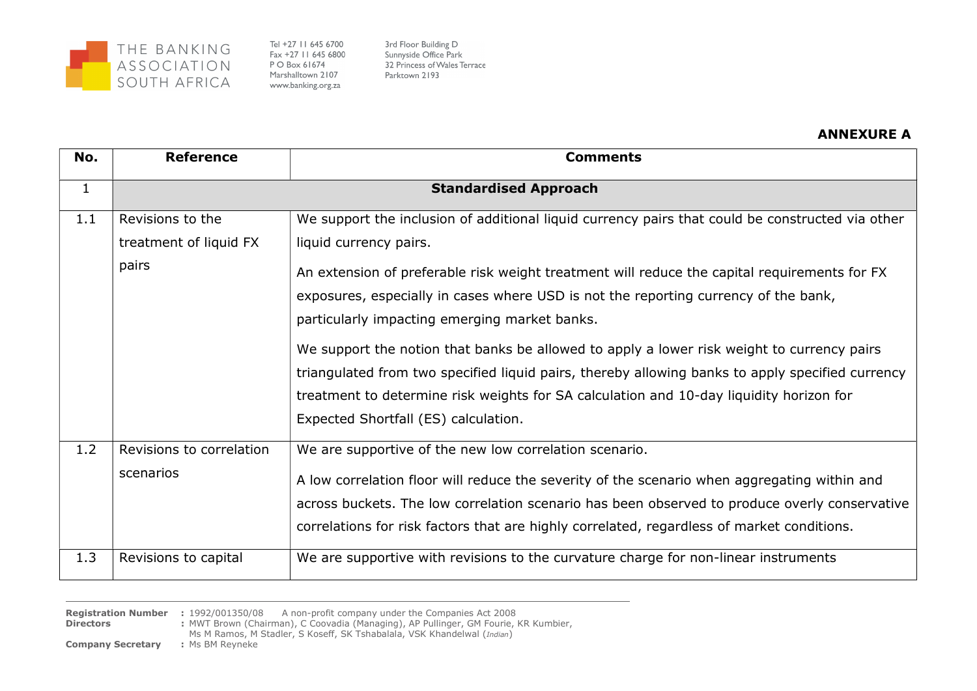

Tel +27 11 645 6700 Fax +27 11 645 6800 P O Box 61674 Marshalltown 2107 www.banking.org.za

3rd Floor Building D Sunnyside Office Park 32 Princess of Wales Terrace Parktown 2193

#### ANNEXURE A

| No.          | <b>Reference</b>                                              | <b>Comments</b>                                                                                                                                                                                                                                                                                                                                                                                                                                                                                                                                                                                                                                                                                         |
|--------------|---------------------------------------------------------------|---------------------------------------------------------------------------------------------------------------------------------------------------------------------------------------------------------------------------------------------------------------------------------------------------------------------------------------------------------------------------------------------------------------------------------------------------------------------------------------------------------------------------------------------------------------------------------------------------------------------------------------------------------------------------------------------------------|
| $\mathbf{1}$ | <b>Standardised Approach</b>                                  |                                                                                                                                                                                                                                                                                                                                                                                                                                                                                                                                                                                                                                                                                                         |
| 1.1          | Revisions to the<br>treatment of liquid FX<br>pairs           | We support the inclusion of additional liquid currency pairs that could be constructed via other<br>liquid currency pairs.<br>An extension of preferable risk weight treatment will reduce the capital requirements for FX<br>exposures, especially in cases where USD is not the reporting currency of the bank,<br>particularly impacting emerging market banks.<br>We support the notion that banks be allowed to apply a lower risk weight to currency pairs<br>triangulated from two specified liquid pairs, thereby allowing banks to apply specified currency<br>treatment to determine risk weights for SA calculation and 10-day liquidity horizon for<br>Expected Shortfall (ES) calculation. |
| 1.2<br>1.3   | Revisions to correlation<br>scenarios<br>Revisions to capital | We are supportive of the new low correlation scenario.<br>A low correlation floor will reduce the severity of the scenario when aggregating within and<br>across buckets. The low correlation scenario has been observed to produce overly conservative<br>correlations for risk factors that are highly correlated, regardless of market conditions.<br>We are supportive with revisions to the curvature charge for non-linear instruments                                                                                                                                                                                                                                                            |
|              |                                                               |                                                                                                                                                                                                                                                                                                                                                                                                                                                                                                                                                                                                                                                                                                         |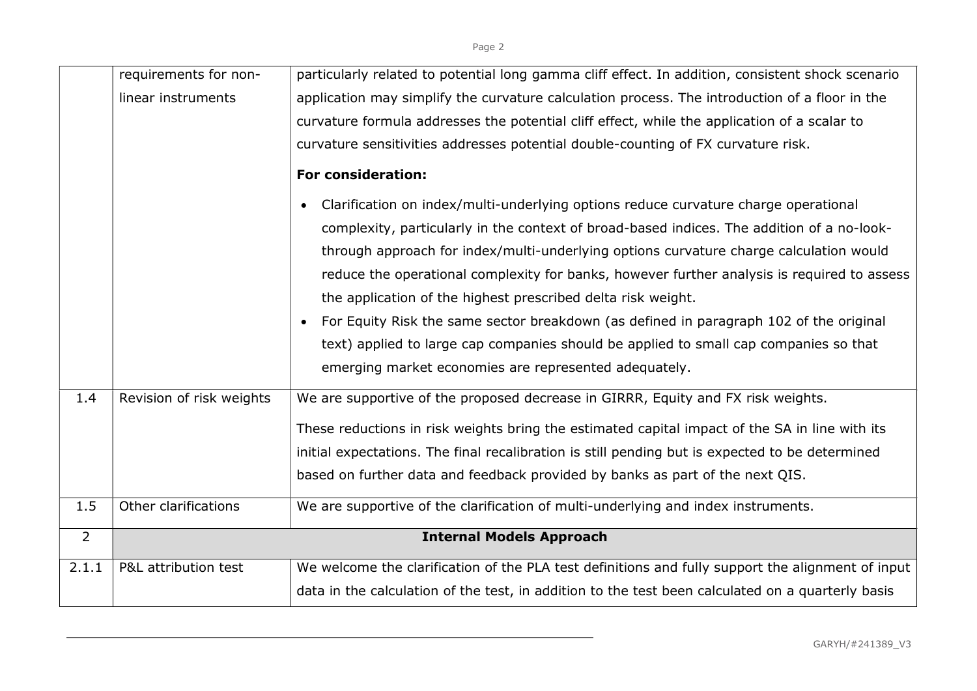|                | requirements for non-    | particularly related to potential long gamma cliff effect. In addition, consistent shock scenario   |
|----------------|--------------------------|-----------------------------------------------------------------------------------------------------|
|                | linear instruments       | application may simplify the curvature calculation process. The introduction of a floor in the      |
|                |                          | curvature formula addresses the potential cliff effect, while the application of a scalar to        |
|                |                          | curvature sensitivities addresses potential double-counting of FX curvature risk.                   |
|                |                          | <b>For consideration:</b>                                                                           |
|                |                          | Clarification on index/multi-underlying options reduce curvature charge operational                 |
|                |                          | complexity, particularly in the context of broad-based indices. The addition of a no-look-          |
|                |                          | through approach for index/multi-underlying options curvature charge calculation would              |
|                |                          | reduce the operational complexity for banks, however further analysis is required to assess         |
|                |                          | the application of the highest prescribed delta risk weight.                                        |
|                |                          | For Equity Risk the same sector breakdown (as defined in paragraph 102 of the original<br>$\bullet$ |
|                |                          | text) applied to large cap companies should be applied to small cap companies so that               |
|                |                          | emerging market economies are represented adequately.                                               |
| 1.4            | Revision of risk weights | We are supportive of the proposed decrease in GIRRR, Equity and FX risk weights.                    |
|                |                          | These reductions in risk weights bring the estimated capital impact of the SA in line with its      |
|                |                          | initial expectations. The final recalibration is still pending but is expected to be determined     |
|                |                          | based on further data and feedback provided by banks as part of the next QIS.                       |
| 1.5            |                          |                                                                                                     |
|                | Other clarifications     | We are supportive of the clarification of multi-underlying and index instruments.                   |
| $\overline{2}$ |                          | <b>Internal Models Approach</b>                                                                     |
| 2.1.1          | P&L attribution test     | We welcome the clarification of the PLA test definitions and fully support the alignment of input   |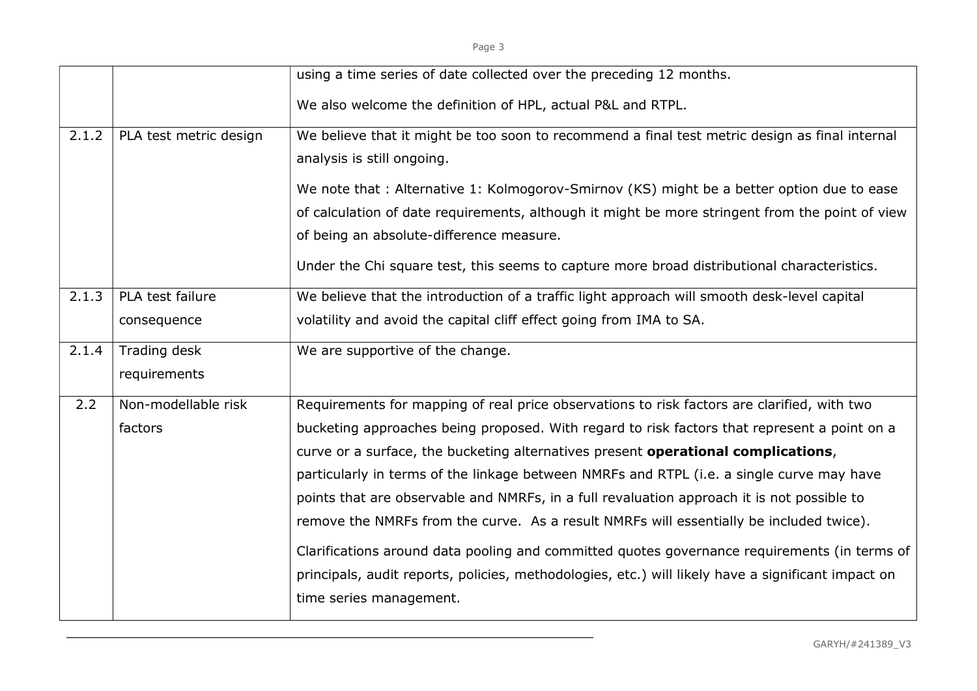| . .<br>- 7 | $\sim$ | $\sim$ |
|------------|--------|--------|

|       |                        | using a time series of date collected over the preceding 12 months.                                |
|-------|------------------------|----------------------------------------------------------------------------------------------------|
|       |                        | We also welcome the definition of HPL, actual P&L and RTPL.                                        |
| 2.1.2 | PLA test metric design | We believe that it might be too soon to recommend a final test metric design as final internal     |
|       |                        | analysis is still ongoing.                                                                         |
|       |                        | We note that: Alternative 1: Kolmogorov-Smirnov (KS) might be a better option due to ease          |
|       |                        | of calculation of date requirements, although it might be more stringent from the point of view    |
|       |                        | of being an absolute-difference measure.                                                           |
|       |                        | Under the Chi square test, this seems to capture more broad distributional characteristics.        |
| 2.1.3 | PLA test failure       | We believe that the introduction of a traffic light approach will smooth desk-level capital        |
|       | consequence            | volatility and avoid the capital cliff effect going from IMA to SA.                                |
| 2.1.4 | Trading desk           | We are supportive of the change.                                                                   |
|       | requirements           |                                                                                                    |
| 2.2   | Non-modellable risk    | Requirements for mapping of real price observations to risk factors are clarified, with two        |
|       | factors                | bucketing approaches being proposed. With regard to risk factors that represent a point on a       |
|       |                        | curve or a surface, the bucketing alternatives present operational complications,                  |
|       |                        | particularly in terms of the linkage between NMRFs and RTPL (i.e. a single curve may have          |
|       |                        | points that are observable and NMRFs, in a full revaluation approach it is not possible to         |
|       |                        | remove the NMRFs from the curve. As a result NMRFs will essentially be included twice).            |
|       |                        | Clarifications around data pooling and committed quotes governance requirements (in terms of       |
|       |                        | principals, audit reports, policies, methodologies, etc.) will likely have a significant impact on |
|       |                        |                                                                                                    |
|       |                        | time series management.                                                                            |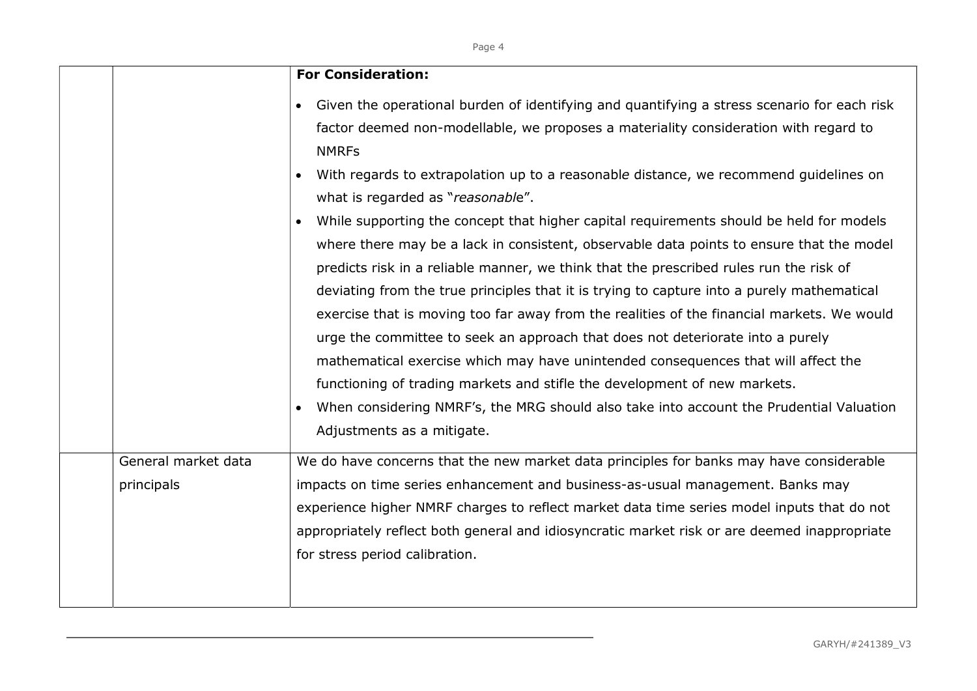|                     | <b>For Consideration:</b>                                                                                                                                                                                                                                                                                                                                                                                                                                                                                                                                                                                                                                                                                                                                                                                                                              |  |
|---------------------|--------------------------------------------------------------------------------------------------------------------------------------------------------------------------------------------------------------------------------------------------------------------------------------------------------------------------------------------------------------------------------------------------------------------------------------------------------------------------------------------------------------------------------------------------------------------------------------------------------------------------------------------------------------------------------------------------------------------------------------------------------------------------------------------------------------------------------------------------------|--|
|                     | Given the operational burden of identifying and quantifying a stress scenario for each risk<br>factor deemed non-modellable, we proposes a materiality consideration with regard to                                                                                                                                                                                                                                                                                                                                                                                                                                                                                                                                                                                                                                                                    |  |
|                     | <b>NMRFs</b><br>With regards to extrapolation up to a reasonable distance, we recommend guidelines on<br>what is regarded as "reasonable".                                                                                                                                                                                                                                                                                                                                                                                                                                                                                                                                                                                                                                                                                                             |  |
|                     | While supporting the concept that higher capital requirements should be held for models<br>where there may be a lack in consistent, observable data points to ensure that the model<br>predicts risk in a reliable manner, we think that the prescribed rules run the risk of<br>deviating from the true principles that it is trying to capture into a purely mathematical<br>exercise that is moving too far away from the realities of the financial markets. We would<br>urge the committee to seek an approach that does not deteriorate into a purely<br>mathematical exercise which may have unintended consequences that will affect the<br>functioning of trading markets and stifle the development of new markets.<br>When considering NMRF's, the MRG should also take into account the Prudential Valuation<br>Adjustments as a mitigate. |  |
| General market data | We do have concerns that the new market data principles for banks may have considerable                                                                                                                                                                                                                                                                                                                                                                                                                                                                                                                                                                                                                                                                                                                                                                |  |
| principals          | impacts on time series enhancement and business-as-usual management. Banks may<br>experience higher NMRF charges to reflect market data time series model inputs that do not<br>appropriately reflect both general and idiosyncratic market risk or are deemed inappropriate<br>for stress period calibration.                                                                                                                                                                                                                                                                                                                                                                                                                                                                                                                                         |  |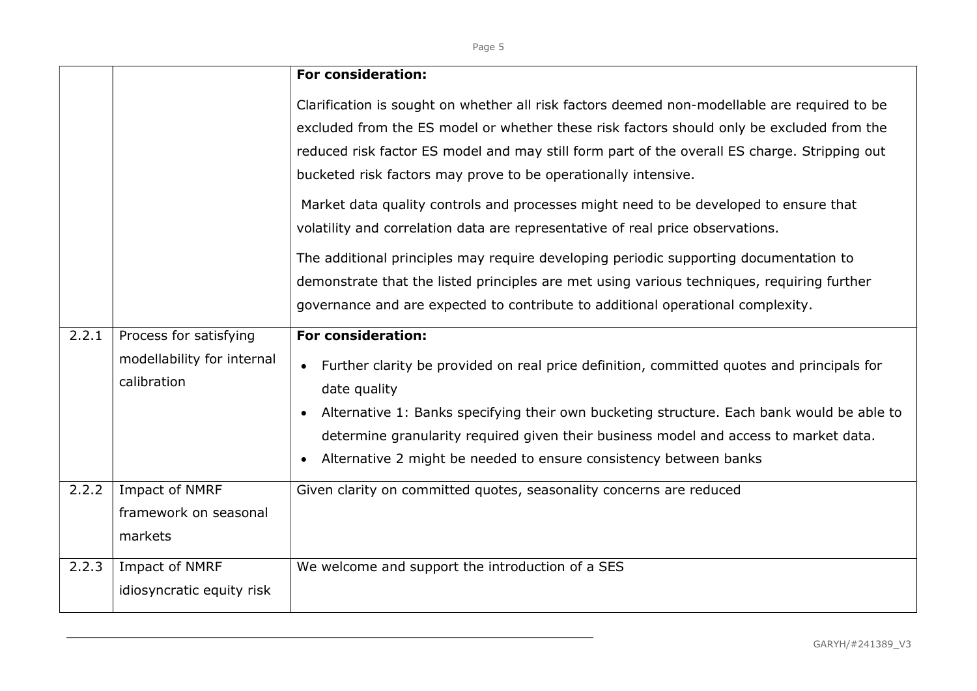|       |                                                                     | <b>For consideration:</b>                                                                                                                                                                                                                                                                                                                                                                                                                                                                                                                                                                                                                                                                                                    |
|-------|---------------------------------------------------------------------|------------------------------------------------------------------------------------------------------------------------------------------------------------------------------------------------------------------------------------------------------------------------------------------------------------------------------------------------------------------------------------------------------------------------------------------------------------------------------------------------------------------------------------------------------------------------------------------------------------------------------------------------------------------------------------------------------------------------------|
|       |                                                                     | Clarification is sought on whether all risk factors deemed non-modellable are required to be<br>excluded from the ES model or whether these risk factors should only be excluded from the<br>reduced risk factor ES model and may still form part of the overall ES charge. Stripping out<br>bucketed risk factors may prove to be operationally intensive.<br>Market data quality controls and processes might need to be developed to ensure that<br>volatility and correlation data are representative of real price observations.<br>The additional principles may require developing periodic supporting documentation to<br>demonstrate that the listed principles are met using various techniques, requiring further |
|       |                                                                     | governance and are expected to contribute to additional operational complexity.                                                                                                                                                                                                                                                                                                                                                                                                                                                                                                                                                                                                                                              |
| 2.2.1 | Process for satisfying<br>modellability for internal<br>calibration | <b>For consideration:</b><br>Further clarity be provided on real price definition, committed quotes and principals for<br>$\bullet$<br>date quality<br>Alternative 1: Banks specifying their own bucketing structure. Each bank would be able to<br>$\bullet$<br>determine granularity required given their business model and access to market data.<br>Alternative 2 might be needed to ensure consistency between banks<br>$\bullet$                                                                                                                                                                                                                                                                                      |
| 2.2.2 | Impact of NMRF<br>framework on seasonal<br>markets                  | Given clarity on committed quotes, seasonality concerns are reduced                                                                                                                                                                                                                                                                                                                                                                                                                                                                                                                                                                                                                                                          |
| 2.2.3 | Impact of NMRF<br>idiosyncratic equity risk                         | We welcome and support the introduction of a SES                                                                                                                                                                                                                                                                                                                                                                                                                                                                                                                                                                                                                                                                             |